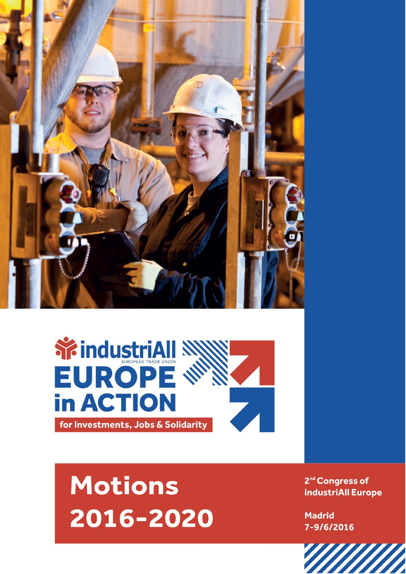



## **Motions** 2016-2020

2<sup>nd</sup> Congress of industriAll Europe

**Madrid** 7-9/6/2016